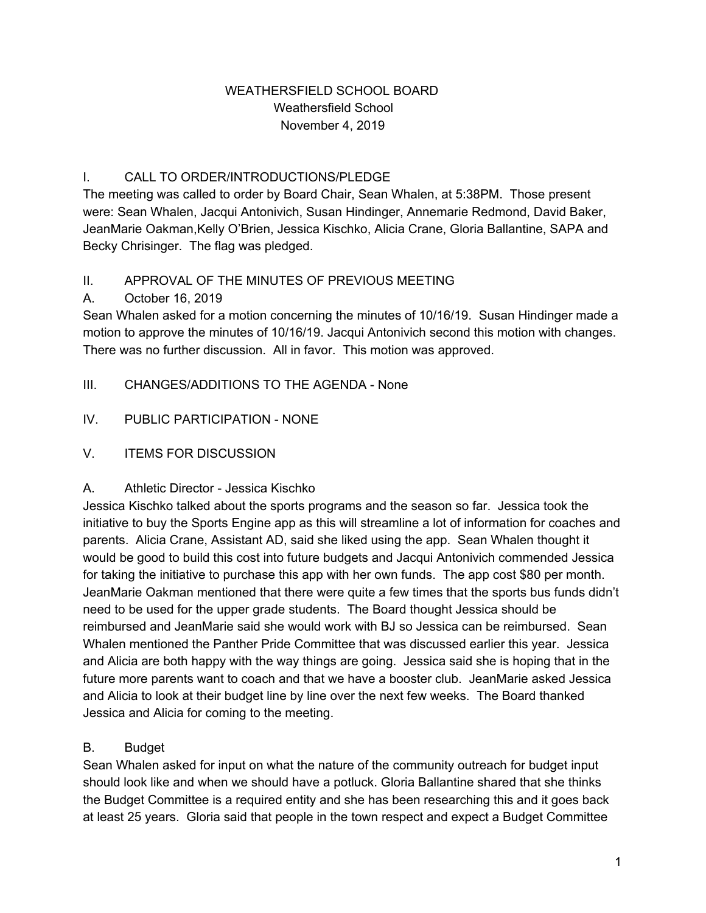### WEATHERSFIELD SCHOOL BOARD Weathersfield School November 4, 2019

## I. CALL TO ORDER/INTRODUCTIONS/PLEDGE

The meeting was called to order by Board Chair, Sean Whalen, at 5:38PM. Those present were: Sean Whalen, Jacqui Antonivich, Susan Hindinger, Annemarie Redmond, David Baker, JeanMarie Oakman,Kelly O'Brien, Jessica Kischko, Alicia Crane, Gloria Ballantine, SAPA and Becky Chrisinger. The flag was pledged.

### II. APPROVAL OF THE MINUTES OF PREVIOUS MEETING

### A. October 16, 2019

Sean Whalen asked for a motion concerning the minutes of 10/16/19. Susan Hindinger made a motion to approve the minutes of 10/16/19. Jacqui Antonivich second this motion with changes. There was no further discussion. All in favor. This motion was approved.

- III. CHANGES/ADDITIONS TO THE AGENDA None
- IV. PUBLIC PARTICIPATION NONE

## V. ITEMS FOR DISCUSSION

### A. Athletic Director - Jessica Kischko

Jessica Kischko talked about the sports programs and the season so far. Jessica took the initiative to buy the Sports Engine app as this will streamline a lot of information for coaches and parents. Alicia Crane, Assistant AD, said she liked using the app. Sean Whalen thought it would be good to build this cost into future budgets and Jacqui Antonivich commended Jessica for taking the initiative to purchase this app with her own funds. The app cost \$80 per month. JeanMarie Oakman mentioned that there were quite a few times that the sports bus funds didn't need to be used for the upper grade students. The Board thought Jessica should be reimbursed and JeanMarie said she would work with BJ so Jessica can be reimbursed. Sean Whalen mentioned the Panther Pride Committee that was discussed earlier this year. Jessica and Alicia are both happy with the way things are going. Jessica said she is hoping that in the future more parents want to coach and that we have a booster club. JeanMarie asked Jessica and Alicia to look at their budget line by line over the next few weeks. The Board thanked Jessica and Alicia for coming to the meeting.

## B. Budget

Sean Whalen asked for input on what the nature of the community outreach for budget input should look like and when we should have a potluck. Gloria Ballantine shared that she thinks the Budget Committee is a required entity and she has been researching this and it goes back at least 25 years. Gloria said that people in the town respect and expect a Budget Committee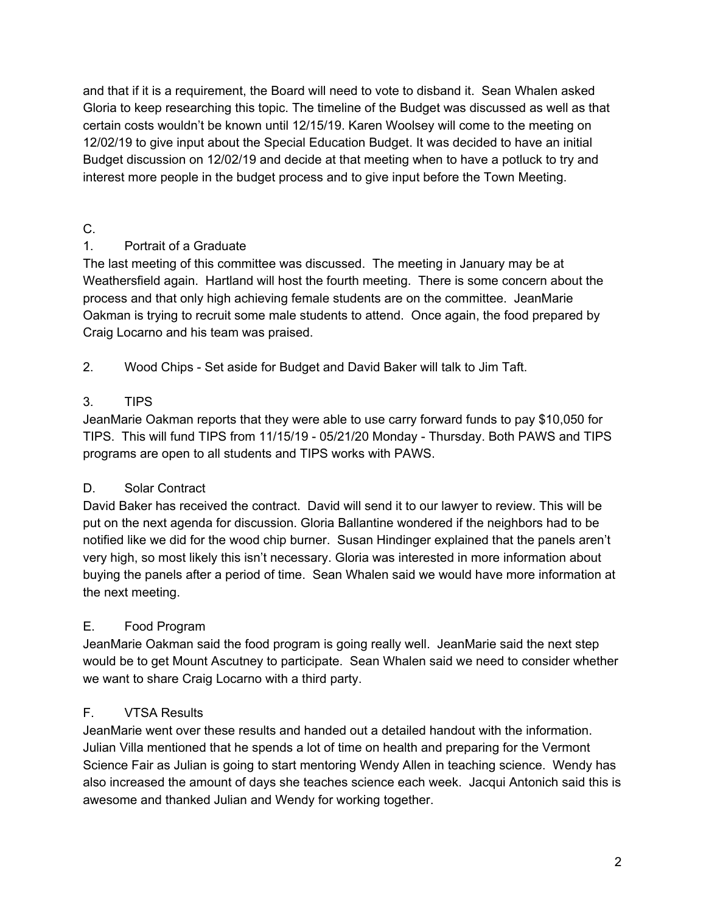and that if it is a requirement, the Board will need to vote to disband it. Sean Whalen asked Gloria to keep researching this topic. The timeline of the Budget was discussed as well as that certain costs wouldn't be known until 12/15/19. Karen Woolsey will come to the meeting on 12/02/19 to give input about the Special Education Budget. It was decided to have an initial Budget discussion on 12/02/19 and decide at that meeting when to have a potluck to try and interest more people in the budget process and to give input before the Town Meeting.

# C.

# 1. Portrait of a Graduate

The last meeting of this committee was discussed. The meeting in January may be at Weathersfield again. Hartland will host the fourth meeting. There is some concern about the process and that only high achieving female students are on the committee. JeanMarie Oakman is trying to recruit some male students to attend. Once again, the food prepared by Craig Locarno and his team was praised.

2. Wood Chips - Set aside for Budget and David Baker will talk to Jim Taft.

# 3. TIPS

JeanMarie Oakman reports that they were able to use carry forward funds to pay \$10,050 for TIPS. This will fund TIPS from 11/15/19 - 05/21/20 Monday - Thursday. Both PAWS and TIPS programs are open to all students and TIPS works with PAWS.

# D. Solar Contract

David Baker has received the contract. David will send it to our lawyer to review. This will be put on the next agenda for discussion. Gloria Ballantine wondered if the neighbors had to be notified like we did for the wood chip burner. Susan Hindinger explained that the panels aren't very high, so most likely this isn't necessary. Gloria was interested in more information about buying the panels after a period of time. Sean Whalen said we would have more information at the next meeting.

# E. Food Program

JeanMarie Oakman said the food program is going really well. JeanMarie said the next step would be to get Mount Ascutney to participate. Sean Whalen said we need to consider whether we want to share Craig Locarno with a third party.

# F. VTSA Results

JeanMarie went over these results and handed out a detailed handout with the information. Julian Villa mentioned that he spends a lot of time on health and preparing for the Vermont Science Fair as Julian is going to start mentoring Wendy Allen in teaching science. Wendy has also increased the amount of days she teaches science each week. Jacqui Antonich said this is awesome and thanked Julian and Wendy for working together.